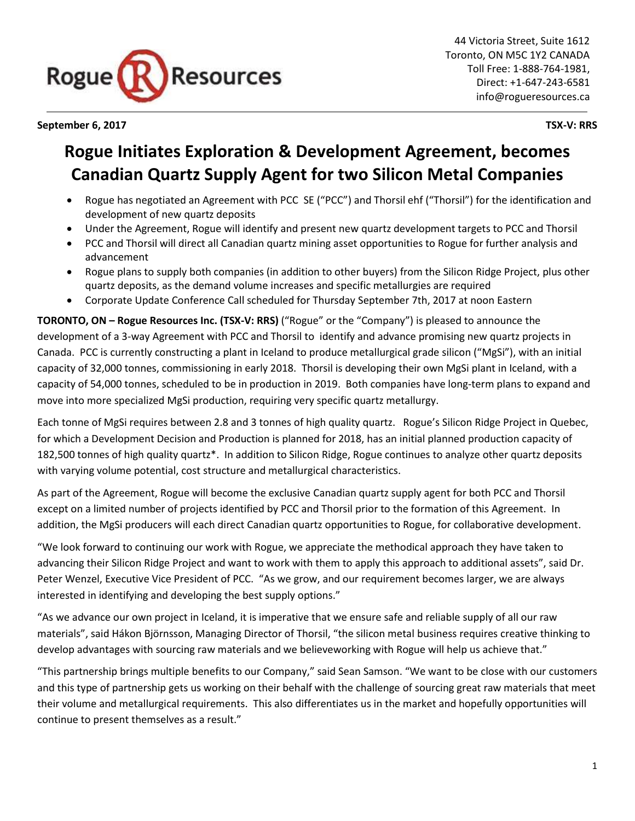

**September 6, 2017 TSX-V: RRS**

# **Rogue Initiates Exploration & Development Agreement, becomes Canadian Quartz Supply Agent for two Silicon Metal Companies**

- Rogue has negotiated an Agreement with PCC SE ("PCC") and Thorsil ehf ("Thorsil") for the identification and development of new quartz deposits
- Under the Agreement, Rogue will identify and present new quartz development targets to PCC and Thorsil
- PCC and Thorsil will direct all Canadian quartz mining asset opportunities to Rogue for further analysis and advancement
- Rogue plans to supply both companies (in addition to other buyers) from the Silicon Ridge Project, plus other quartz deposits, as the demand volume increases and specific metallurgies are required
- Corporate Update Conference Call scheduled for Thursday September 7th, 2017 at noon Eastern

**TORONTO, ON – Rogue Resources Inc. (TSX-V: RRS)** ("Rogue" or the "Company") is pleased to announce the development of a 3-way Agreement with PCC and Thorsil to identify and advance promising new quartz projects in Canada. PCC is currently constructing a plant in Iceland to produce metallurgical grade silicon ("MgSi"), with an initial capacity of 32,000 tonnes, commissioning in early 2018. Thorsil is developing their own MgSi plant in Iceland, with a capacity of 54,000 tonnes, scheduled to be in production in 2019. Both companies have long-term plans to expand and move into more specialized MgSi production, requiring very specific quartz metallurgy.

Each tonne of MgSi requires between 2.8 and 3 tonnes of high quality quartz. Rogue's Silicon Ridge Project in Quebec, for which a Development Decision and Production is planned for 2018, has an initial planned production capacity of 182,500 tonnes of high quality quartz\*. In addition to Silicon Ridge, Rogue continues to analyze other quartz deposits with varying volume potential, cost structure and metallurgical characteristics.

As part of the Agreement, Rogue will become the exclusive Canadian quartz supply agent for both PCC and Thorsil except on a limited number of projects identified by PCC and Thorsil prior to the formation of this Agreement. In addition, the MgSi producers will each direct Canadian quartz opportunities to Rogue, for collaborative development.

"We look forward to continuing our work with Rogue, we appreciate the methodical approach they have taken to advancing their Silicon Ridge Project and want to work with them to apply this approach to additional assets", said Dr. Peter Wenzel, Executive Vice President of PCC. "As we grow, and our requirement becomes larger, we are always interested in identifying and developing the best supply options."

"As we advance our own project in Iceland, it is imperative that we ensure safe and reliable supply of all our raw materials", said Hákon Björnsson, Managing Director of Thorsil, "the silicon metal business requires creative thinking to develop advantages with sourcing raw materials and we believeworking with Rogue will help us achieve that."

"This partnership brings multiple benefits to our Company," said Sean Samson. "We want to be close with our customers and this type of partnership gets us working on their behalf with the challenge of sourcing great raw materials that meet their volume and metallurgical requirements. This also differentiates us in the market and hopefully opportunities will continue to present themselves as a result."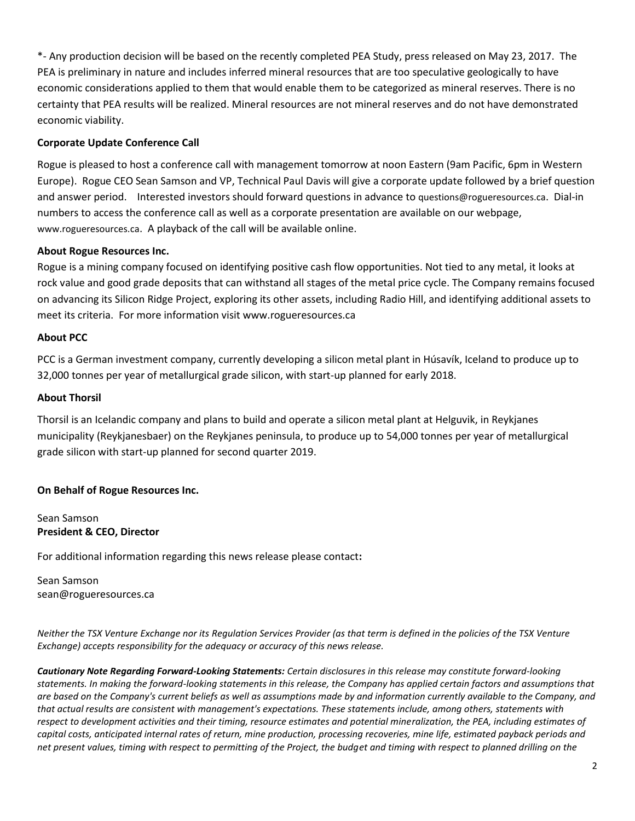\*- Any production decision will be based on the recently completed PEA Study, press released on May 23, 2017. The PEA is preliminary in nature and includes inferred mineral resources that are too speculative geologically to have economic considerations applied to them that would enable them to be categorized as mineral reserves. There is no certainty that PEA results will be realized. Mineral resources are not mineral reserves and do not have demonstrated economic viability.

## **Corporate Update Conference Call**

Rogue is pleased to host a conference call with management tomorrow at noon Eastern (9am Pacific, 6pm in Western Europe). Rogue CEO Sean Samson and VP, Technical Paul Davis will give a corporate update followed by a brief question and answer period. Interested investors should forward questions in advance to [questions@rogueresources.ca](mailto:questions@rogueresources.ca). Dial-in numbers to access the conference call as well as a corporate presentation are available on our webpage, [www.rogueresources.ca](http://www.rogueresources.ca/). A playback of the call will be available online.

### **About Rogue Resources Inc.**

Rogue is a mining company focused on identifying positive cash flow opportunities. Not tied to any metal, it looks at rock value and good grade deposits that can withstand all stages of the metal price cycle. The Company remains focused on advancing its Silicon Ridge Project, exploring its other assets, including Radio Hill, and identifying additional assets to meet its criteria. For more information visit [www.rogueresources.ca](http://www.rogueresources.ca/)

#### **About PCC**

PCC is a German investment company, currently developing a silicon metal plant in Húsavík, Iceland to produce up to 32,000 tonnes per year of metallurgical grade silicon, with start-up planned for early 2018.

#### **About Thorsil**

Thorsil is an Icelandic company and plans to build and operate a silicon metal plant at Helguvik, in Reykjanes municipality (Reykjanesbaer) on the Reykjanes peninsula, to produce up to 54,000 tonnes per year of metallurgical grade silicon with start-up planned for second quarter 2019.

## **On Behalf of Rogue Resources Inc.**

Sean Samson **President & CEO, Director**

For additional information regarding this news release please contact**:**

Sean Samson sean@rogueresources.ca

*Neither the TSX Venture Exchange nor its Regulation Services Provider (as that term is defined in the policies of the TSX Venture Exchange) accepts responsibility for the adequacy or accuracy of this news release.*

*Cautionary Note Regarding Forward-Looking Statements: Certain disclosures in this release may constitute forward-looking statements. In making the forward-looking statements in this release, the Company has applied certain factors and assumptions that are based on the Company's current beliefs as well as assumptions made by and information currently available to the Company, and that actual results are consistent with management's expectations. These statements include, among others, statements with respect to development activities and their timing, resource estimates and potential mineralization, the PEA, including estimates of capital costs, anticipated internal rates of return, mine production, processing recoveries, mine life, estimated payback periods and net present values, timing with respect to permitting of the Project, the budget and timing with respect to planned drilling on the*